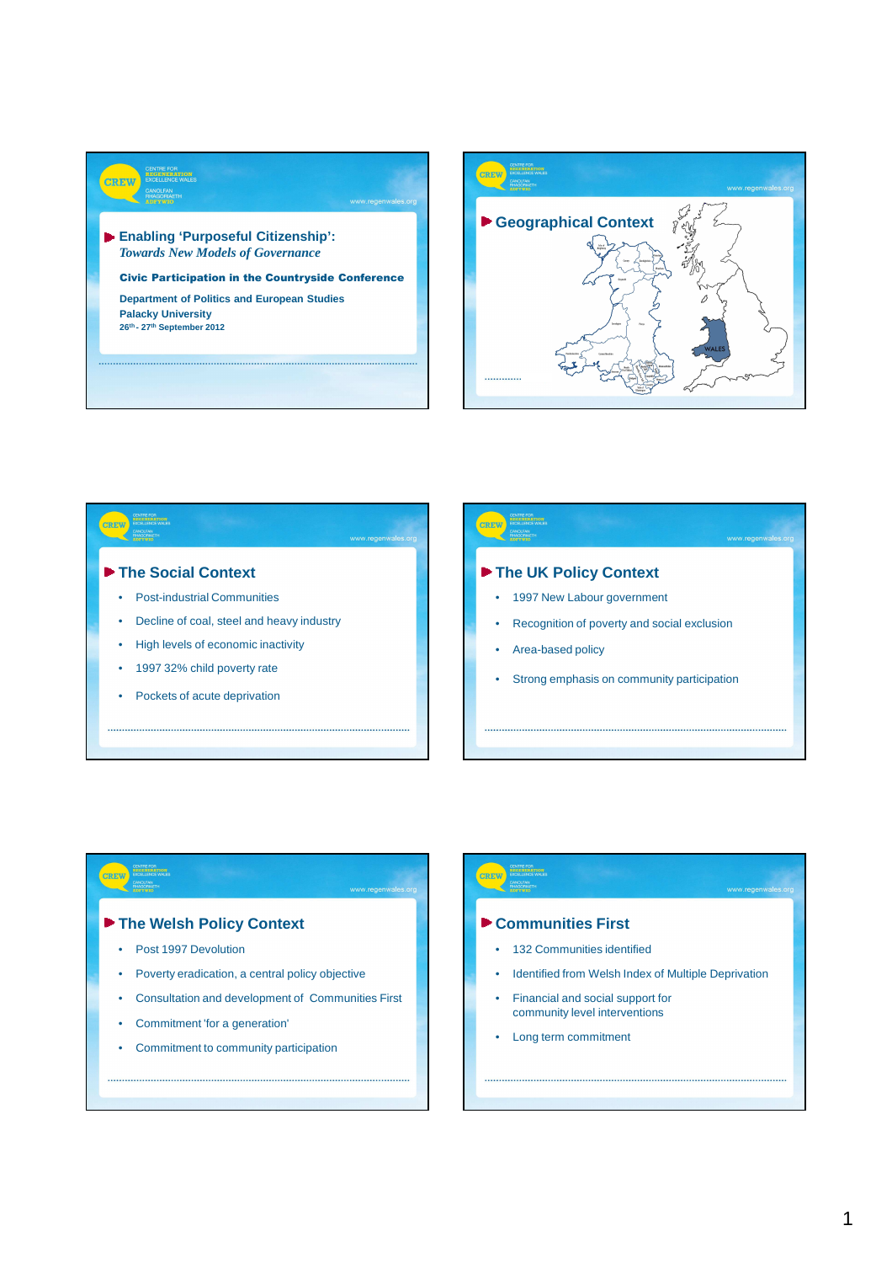



### CREV meru **The Social Context The UK Policy Context** • Post-industrial Communities • 1997 New Labour government • Decline of coal, steel and heavy industry • High levels of economic inactivity • Area-based policy • 1997 32% child poverty rate Pockets of acute deprivation

- 
- Recognition of poverty and social exclusion
- Strong emphasis on community participation

### **The Welsh Policy Context**

• Post 1997 Devolution

**CREW** 

- Poverty eradication, a central policy objective
- Consultation and development of Communities First
- Commitment 'for a generation'
- Commitment to community participation

### crev

### **Communities First**

- 132 Communities identified
- Identified from Welsh Index of Multiple Deprivation
- Financial and social support for community level interventions
- Long term commitment

egenwales.or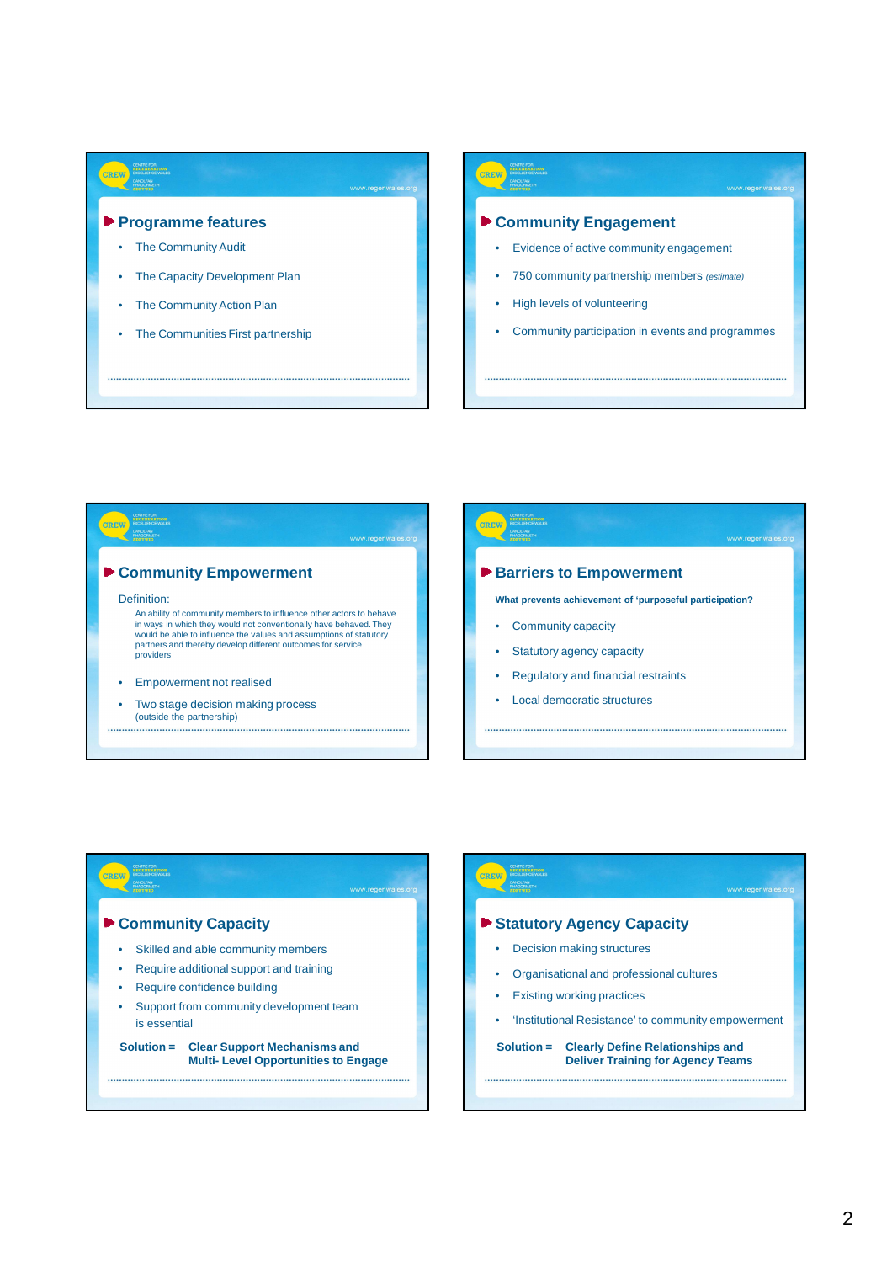

# crew **Community Engagement** • Evidence of active community engagement 750 community partnership members (estimate) • High levels of volunteering • Community participation in events and programmes



## .<br>CREW **Community Capacity** • Skilled and able community members • Require additional support and training • Require confidence building Support from community development team is essential

**Solution = Clear Support Mechanisms and Multi- Level Opportunities to Engage**

### **CREV**

### **Statutory Agency Capacity**

- Decision making structures
- Organisational and professional cultures
- Existing working practices
- 'Institutional Resistance' to community empowerment

### **Solution = Clearly Define Relationships and Deliver Training for Agency Teams**

regenwales.or